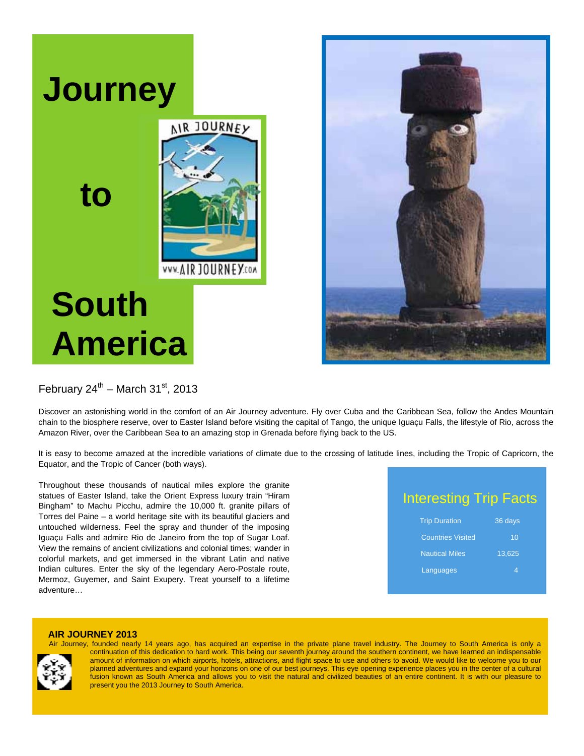



## February  $24^{\text{th}}$  – March  $31^{\text{st}}$ , 2013

Discover an astonishing world in the comfort of an Air Journey adventure. Fly over Cuba and the Caribbean Sea, follow the Andes Mountain chain to the biosphere reserve, over to Easter Island before visiting the capital of Tango, the unique Iguaçu Falls, the lifestyle of Rio, across the Amazon River, over the Caribbean Sea to an amazing stop in Grenada before flying back to the US.

It is easy to become amazed at the incredible variations of climate due to the crossing of latitude lines, including the Tropic of Capricorn, the Equator, and the Tropic of Cancer (both ways).

Throughout these thousands of nautical miles explore the granite statues of Easter Island, take the Orient Express luxury train "Hiram Bingham" to Machu Picchu, admire the 10,000 ft. granite pillars of Torres del Paine – a world heritage site with its beautiful glaciers and untouched wilderness. Feel the spray and thunder of the imposing Iguaçu Falls and admire Rio de Janeiro from the top of Sugar Loaf. View the remains of ancient civilizations and colonial times; wander in colorful markets, and get immersed in the vibrant Latin and native Indian cultures. Enter the sky of the legendary Aero-Postale route, Mermoz, Guyemer, and Saint Exupery. Treat yourself to a lifetime adventure…

 Interesting Trip Facts **Trip Duration 36 days** 

| <b>THE DUTATION</b>      | <u>ou uays</u> |  |
|--------------------------|----------------|--|
| <b>Countries Visited</b> | 10             |  |
| <b>Nautical Miles</b>    | 13,625         |  |
| Languages                | 4              |  |
|                          |                |  |

#### **AIR JOURNEY 2013**



 Air Journey, founded nearly 14 years ago, has acquired an expertise in the private plane travel industry. The Journey to South America is only a continuation of this dedication to hard work. This being our seventh journey around the southern continent, we have learned an indispensable amount of information on which airports, hotels, attractions, and flight space to use and others to avoid. We would like to welcome you to our planned adventures and expand your horizons on one of our best journeys. This eye opening experience places you in the center of a cultural fusion known as South America and allows you to visit the natural and civilized beauties of an entire continent. It is with our pleasure to present you the 2013 Journey to South America.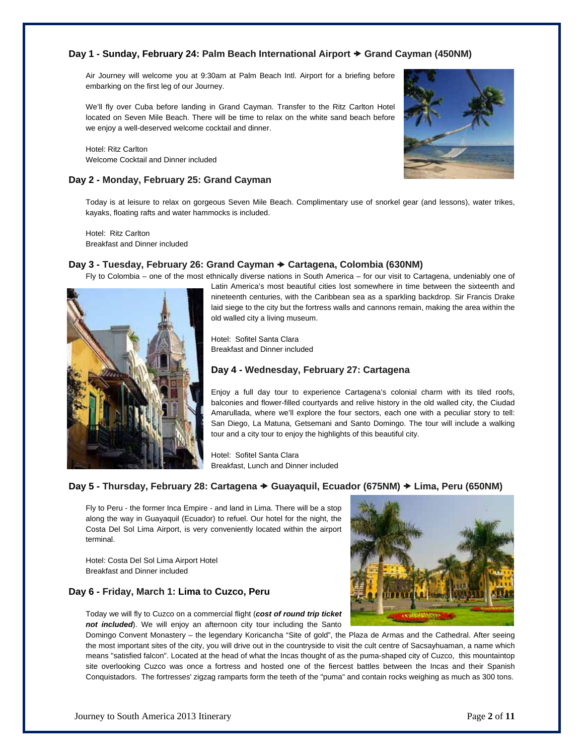## **Day 1 - Sunday, February 24: Palm Beach International Airport → Grand Cayman (450NM)**

Air Journey will welcome you at 9:30am at Palm Beach Intl. Airport for a briefing before embarking on the first leg of our Journey.

We'll fly over Cuba before landing in Grand Cayman. Transfer to the Ritz Carlton Hotel located on Seven Mile Beach. There will be time to relax on the white sand beach before we enjoy a well-deserved welcome cocktail and dinner.

Hotel: Ritz Carlton Welcome Cocktail and Dinner included

## **Day 2 - Monday, February 25: Grand Cayman**



Today is at leisure to relax on gorgeous Seven Mile Beach. Complimentary use of snorkel gear (and lessons), water trikes, kayaks, floating rafts and water hammocks is included.

Hotel: Ritz Carlton Breakfast and Dinner included

## **Day 3 - Tuesday, February 26: Grand Cayman Cartagena, Colombia (630NM)**



Latin America's most beautiful cities lost somewhere in time between the sixteenth and nineteenth centuries, with the Caribbean sea as a sparkling backdrop. Sir Francis Drake laid siege to the city but the fortress walls and cannons remain, making the area within the old walled city a living museum.

Hotel: Sofitel Santa Clara Breakfast and Dinner included

## **Day 4 - Wednesday, February 27: Cartagena**

Enjoy a full day tour to experience Cartagena's colonial charm with its tiled roofs, balconies and flower-filled courtyards and relive history in the old walled city, the Ciudad Amarullada, where we'll explore the four sectors, each one with a peculiar story to tell: San Diego, La Matuna, Getsemani and Santo Domingo. The tour will include a walking tour and a city tour to enjoy the highlights of this beautiful city.

Hotel: Sofitel Santa Clara Breakfast, Lunch and Dinner included

## **Day 5 - Thursday, February 28: Cartagena → Guayaquil, Ecuador (675NM) → Lima, Peru (650NM)**

Fly to Peru - the former Inca Empire - and land in Lima. There will be a stop along the way in Guayaquil (Ecuador) to refuel. Our hotel for the night, the Costa Del Sol Lima Airport, is very conveniently located within the airport terminal.

Hotel: Costa Del Sol Lima Airport Hotel Breakfast and Dinner included

## **Day 6 - Friday, March 1: Lima to Cuzco, Peru**

Today we will fly to Cuzco on a commercial flight (*cost of round trip ticket not included*). We will enjoy an afternoon city tour including the Santo

Domingo Convent Monastery – the legendary Koricancha "Site of gold", the Plaza de Armas and the Cathedral. After seeing the most important sites of the city, you will drive out in the countryside to visit the cult centre of Sacsayhuaman, a name which means "satisfied falcon". Located at the head of what the Incas thought of as the puma-shaped city of Cuzco, this mountaintop site overlooking Cuzco was once a fortress and hosted one of the fiercest battles between the Incas and their Spanish Conquistadors. The fortresses' zigzag ramparts form the teeth of the "puma" and contain rocks weighing as much as 300 tons.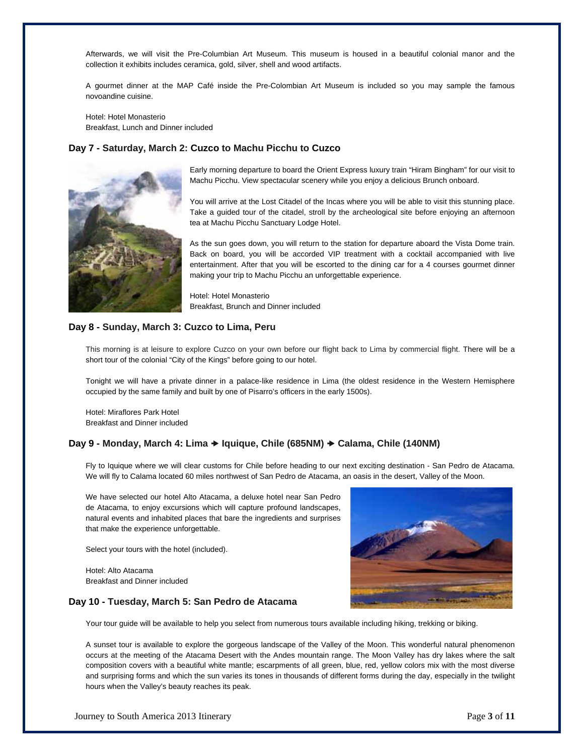Afterwards, we will visit the Pre-Columbian Art Museum. This museum is housed in a beautiful colonial manor and the collection it exhibits includes ceramica, gold, silver, shell and wood artifacts.

A gourmet dinner at the MAP Café inside the Pre-Colombian Art Museum is included so you may sample the famous novoandine cuisine.

Hotel: Hotel Monasterio Breakfast, Lunch and Dinner included

## **Day 7 - Saturday, March 2: Cuzco to Machu Picchu to Cuzco**



Early morning departure to board the Orient Express luxury train "Hiram Bingham" for our visit to Machu Picchu. View spectacular scenery while you enjoy a delicious Brunch onboard.

You will arrive at the Lost Citadel of the Incas where you will be able to visit this stunning place. Take a guided tour of the citadel, stroll by the archeological site before enjoying an afternoon tea at Machu Picchu Sanctuary Lodge Hotel.

As the sun goes down, you will return to the station for departure aboard the Vista Dome train. Back on board, you will be accorded VIP treatment with a cocktail accompanied with live entertainment. After that you will be escorted to the dining car for a 4 courses gourmet dinner making your trip to Machu Picchu an unforgettable experience.

Hotel: Hotel Monasterio Breakfast, Brunch and Dinner included

## **Day 8 - Sunday, March 3: Cuzco to Lima, Peru**

This morning is at leisure to explore Cuzco on your own before our flight back to Lima by commercial flight. There will be a short tour of the colonial "City of the Kings" before going to our hotel.

Tonight we will have a private dinner in a palace-like residence in Lima (the oldest residence in the Western Hemisphere occupied by the same family and built by one of Pisarro's officers in the early 1500s).

Hotel: Miraflores Park Hotel Breakfast and Dinner included

### **Day 9 - Monday, March 4: Lima Iquique, Chile (685NM) Calama, Chile (140NM)**

Fly to Iquique where we will clear customs for Chile before heading to our next exciting destination - San Pedro de Atacama. We will fly to Calama located 60 miles northwest of San Pedro de Atacama, an oasis in the desert, Valley of the Moon.

We have selected our hotel Alto Atacama, a deluxe hotel near San Pedro de Atacama, to enjoy excursions which will capture profound landscapes, natural events and inhabited places that bare the ingredients and surprises that make the experience unforgettable.

Select your tours with the hotel (included).

Hotel: Alto Atacama Breakfast and Dinner included

#### **Day 10 - Tuesday, March 5: San Pedro de Atacama**



Your tour guide will be available to help you select from numerous tours available including hiking, trekking or biking.

A sunset tour is available to explore the gorgeous landscape of the Valley of the Moon. This wonderful natural phenomenon occurs at the meeting of the Atacama Desert with the Andes mountain range. The Moon Valley has dry lakes where the salt composition covers with a beautiful white mantle; escarpments of all green, blue, red, yellow colors mix with the most diverse and surprising forms and which the sun varies its tones in thousands of different forms during the day, especially in the twilight hours when the Valley's beauty reaches its peak.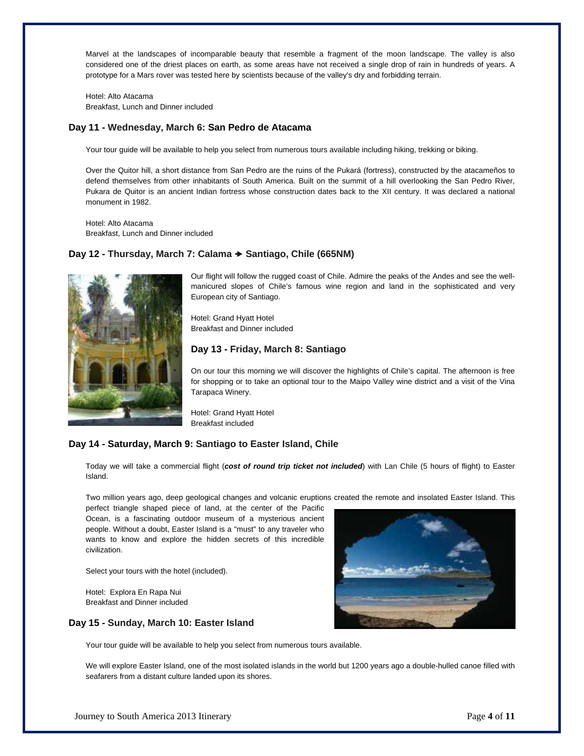Marvel at the landscapes of incomparable beauty that resemble a fragment of the moon landscape. The valley is also considered one of the driest places on earth, as some areas have not received a single drop of rain in hundreds of years. A prototype for a Mars rover was tested here by scientists because of the valley's dry and forbidding terrain.

Hotel: Alto Atacama Breakfast, Lunch and Dinner included

## **Day 11 - Wednesday, March 6: San Pedro de Atacama**

Your tour guide will be available to help you select from numerous tours available including hiking, trekking or biking.

Over the Quitor hill, a short distance from San Pedro are the ruins of the Pukará (fortress), constructed by the atacameños to defend themselves from other inhabitants of South America. Built on the summit of a hill overlooking the San Pedro River, Pukara de Quitor is an ancient Indian fortress whose construction dates back to the XII century. It was declared a national monument in 1982.

Hotel: Alto Atacama Breakfast, Lunch and Dinner included

## **Day 12 - Thursday, March 7: Calama Santiago, Chile (665NM)**



Our flight will follow the rugged coast of Chile. Admire the peaks of the Andes and see the wellmanicured slopes of Chile's famous wine region and land in the sophisticated and very European city of Santiago.

Hotel: Grand Hyatt Hotel Breakfast and Dinner included

## **Day 13 - Friday, March 8: Santiago**

On our tour this morning we will discover the highlights of Chile's capital. The afternoon is free for shopping or to take an optional tour to the Maipo Valley wine district and a visit of the Vina Tarapaca Winery.

Hotel: Grand Hyatt Hotel Breakfast included

## **Day 14 - Saturday, March 9: Santiago to Easter Island, Chile**

Today we will take a commercial flight (*cost of round trip ticket not included*) with Lan Chile (5 hours of flight) to Easter Island.

Two million years ago, deep geological changes and volcanic eruptions created the remote and insolated Easter Island. This

perfect triangle shaped piece of land, at the center of the Pacific Ocean, is a fascinating outdoor museum of a mysterious ancient people. Without a doubt, Easter Island is a "must" to any traveler who wants to know and explore the hidden secrets of this incredible civilization.

Select your tours with the hotel (included).

Hotel: Explora En Rapa Nui Breakfast and Dinner included

### **Day 15 - Sunday, March 10: Easter Island**

Your tour guide will be available to help you select from numerous tours available.

We will explore Easter Island, one of the most isolated islands in the world but 1200 years ago a double-hulled canoe filled with seafarers from a distant culture landed upon its shores.



Journey to South America 2013 Itinerary Page **4** of **11**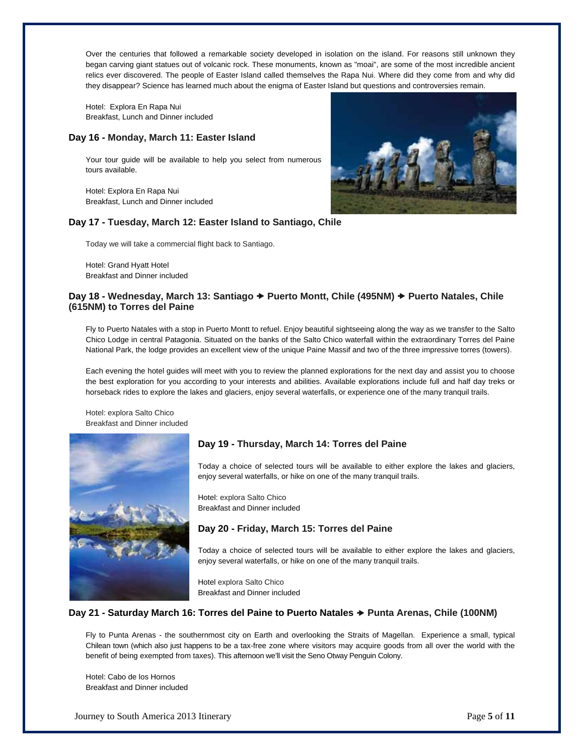Over the centuries that followed a remarkable society developed in isolation on the island. For reasons still unknown they began carving giant statues out of volcanic rock. These monuments, known as "moai", are some of the most incredible ancient relics ever discovered. The people of Easter Island called themselves the Rapa Nui. Where did they come from and why did they disappear? Science has learned much about the enigma of Easter Island but questions and controversies remain.

Hotel: Explora En Rapa Nui Breakfast, Lunch and Dinner included

## **Day 16 - Monday, March 11: Easter Island**

Your tour guide will be available to help you select from numerous tours available.

Hotel: Explora En Rapa Nui Breakfast, Lunch and Dinner included

## **Day 17 - Tuesday, March 12: Easter Island to Santiago, Chile**

Today we will take a commercial flight back to Santiago.

Hotel: Grand Hyatt Hotel Breakfast and Dinner included

## **Day 18 - Wednesday, March 13: Santiago → Puerto Montt, Chile (495NM) → Puerto Natales, Chile (615NM) to Torres del Paine**

Fly to Puerto Natales with a stop in Puerto Montt to refuel. Enjoy beautiful sightseeing along the way as we transfer to the Salto Chico Lodge in central Patagonia. Situated on the banks of the Salto Chico waterfall within the extraordinary Torres del Paine National Park, the lodge provides an excellent view of the unique Paine Massif and two of the three impressive torres (towers).

Each evening the hotel guides will meet with you to review the planned explorations for the next day and assist you to choose the best exploration for you according to your interests and abilities. Available explorations include full and half day treks or horseback rides to explore the lakes and glaciers, enjoy several waterfalls, or experience one of the many tranquil trails.

Hotel: explora Salto Chico Breakfast and Dinner included



## **Day 19 - Thursday, March 14: Torres del Paine**

Today a choice of selected tours will be available to either explore the lakes and glaciers, enjoy several waterfalls, or hike on one of the many tranquil trails.

Hotel: explora Salto Chico Breakfast and Dinner included

## **Day 20 - Friday, March 15: Torres del Paine**

Today a choice of selected tours will be available to either explore the lakes and glaciers, enjoy several waterfalls, or hike on one of the many tranquil trails.

Hotel explora Salto Chico Breakfast and Dinner included

## Day 21 - Saturday March 16: Torres del Paine to Puerto Natales → Punta Arenas, Chile (100NM)

Fly to Punta Arenas - the southernmost city on Earth and overlooking the Straits of Magellan. Experience a small, typical Chilean town (which also just happens to be a tax-free zone where visitors may acquire goods from all over the world with the benefit of being exempted from taxes). This afternoon we'll visit the Seno Otway Penguin Colony.

Hotel: Cabo de los Hornos Breakfast and Dinner included

Journey to South America 2013 Itinerary Page **5** of **11**

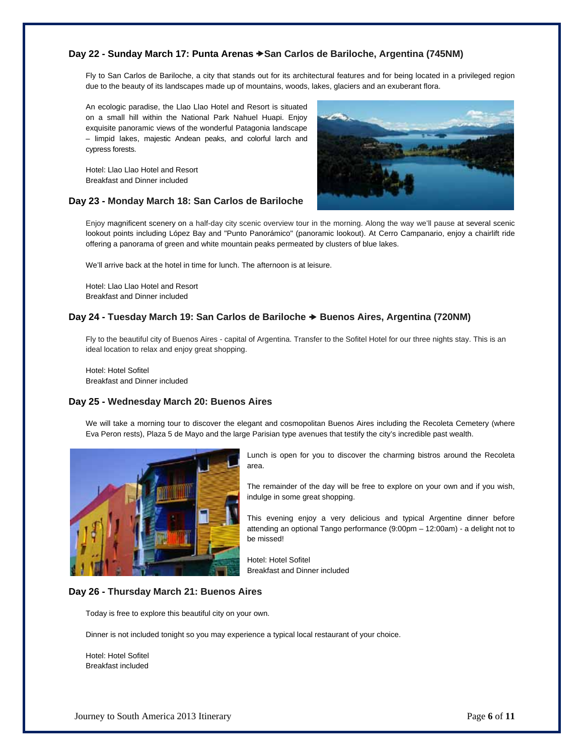## **Day 22 - Sunday March 17: Punta Arenas San Carlos de Bariloche, Argentina (745NM)**

Fly to San Carlos de Bariloche, a city that stands out for its architectural features and for being located in a privileged region due to the beauty of its landscapes made up of mountains, woods, lakes, glaciers and an exuberant flora.

An ecologic paradise, the Llao Llao Hotel and Resort is situated on a small hill within the National Park Nahuel Huapi. Enjoy exquisite panoramic views of the wonderful Patagonia landscape – limpid lakes, majestic Andean peaks, and colorful larch and cypress forests.

Hotel: Llao Llao Hotel and Resort Breakfast and Dinner included

### **Day 23 - Monday March 18: San Carlos de Bariloche**



Enjoy magnificent scenery on a half-day city scenic overview tour in the morning. Along the way we'll pause at several scenic lookout points including López Bay and "Punto Panorámico" (panoramic lookout). At Cerro Campanario, enjoy a chairlift ride offering a panorama of green and white mountain peaks permeated by clusters of blue lakes.

We'll arrive back at the hotel in time for lunch. The afternoon is at leisure.

Hotel: Llao Llao Hotel and Resort Breakfast and Dinner included

### **Day 24 - Tuesday March 19: San Carlos de Bariloche Buenos Aires, Argentina (720NM)**

Fly to the beautiful city of Buenos Aires - capital of Argentina. Transfer to the Sofitel Hotel for our three nights stay. This is an ideal location to relax and enjoy great shopping.

Hotel: Hotel Sofitel Breakfast and Dinner included

### **Day 25 - Wednesday March 20: Buenos Aires**

We will take a morning tour to discover the elegant and cosmopolitan Buenos Aires including the Recoleta Cemetery (where Eva Peron rests), Plaza 5 de Mayo and the large Parisian type avenues that testify the city's incredible past wealth.



Lunch is open for you to discover the charming bistros around the Recoleta area.

The remainder of the day will be free to explore on your own and if you wish, indulge in some great shopping.

This evening enjoy a very delicious and typical Argentine dinner before attending an optional Tango performance (9:00pm – 12:00am) - a delight not to be missed!

Hotel: Hotel Sofitel Breakfast and Dinner included

### **Day 26 - Thursday March 21: Buenos Aires**

Today is free to explore this beautiful city on your own.

Dinner is not included tonight so you may experience a typical local restaurant of your choice.

Hotel: Hotel Sofitel Breakfast included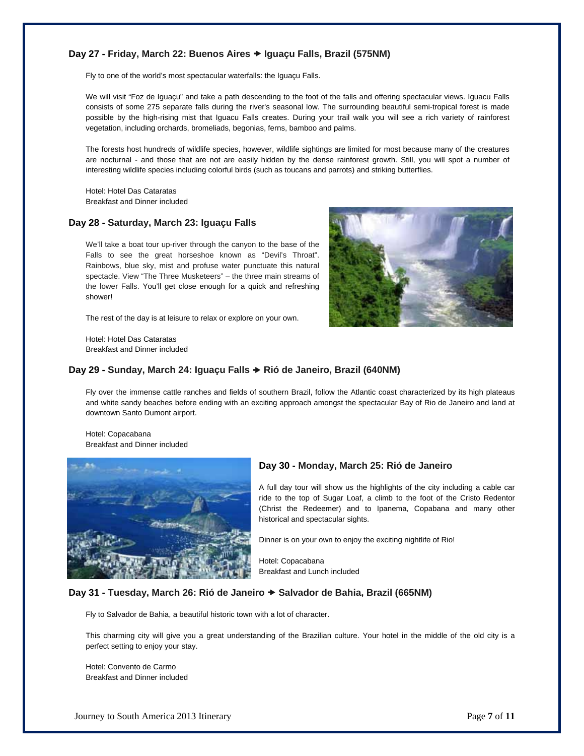## **Day 27 - Friday, March 22: Buenos Aires Iguaçu Falls, Brazil (575NM)**

Fly to one of the world's most spectacular waterfalls: the Iguaçu Falls.

We will visit "Foz de Iguaçu" and take a path descending to the foot of the falls and offering spectacular views. Iguacu Falls consists of some 275 separate falls during the river's seasonal low. The surrounding beautiful semi-tropical forest is made possible by the high-rising mist that Iguacu Falls creates. During your trail walk you will see a rich variety of rainforest vegetation, including orchards, bromeliads, begonias, ferns, bamboo and palms.

The forests host hundreds of wildlife species, however, wildlife sightings are limited for most because many of the creatures are nocturnal - and those that are not are easily hidden by the dense rainforest growth. Still, you will spot a number of interesting wildlife species including colorful birds (such as toucans and parrots) and striking butterflies.

Hotel: Hotel Das Cataratas Breakfast and Dinner included

## **Day 28 - Saturday, March 23: Iguaçu Falls**

We'll take a boat tour up-river through the canyon to the base of the Falls to see the great horseshoe known as "Devil's Throat". Rainbows, blue sky, mist and profuse water punctuate this natural spectacle. View "The Three Musketeers" – the three main streams of the lower Falls. You'll get close enough for a quick and refreshing shower!

The rest of the day is at leisure to relax or explore on your own.

Hotel: Hotel Das Cataratas Breakfast and Dinner included



## **Day 29 - Sunday, March 24: Iguaçu Falls Rió de Janeiro, Brazil (640NM)**

Fly over the immense cattle ranches and fields of southern Brazil, follow the Atlantic coast characterized by its high plateaus and white sandy beaches before ending with an exciting approach amongst the spectacular Bay of Rio de Janeiro and land at downtown Santo Dumont airport.

Hotel: Copacabana Breakfast and Dinner included



### **Day 30 - Monday, March 25: Rió de Janeiro**

A full day tour will show us the highlights of the city including a cable car ride to the top of Sugar Loaf, a climb to the foot of the Cristo Redentor (Christ the Redeemer) and to Ipanema, Copabana and many other historical and spectacular sights.

Dinner is on your own to enjoy the exciting nightlife of Rio!

Hotel: Copacabana Breakfast and Lunch included

### **Day 31 - Tuesday, March 26: Rió de Janeiro Salvador de Bahia, Brazil (665NM)**

Fly to Salvador de Bahia, a beautiful historic town with a lot of character.

This charming city will give you a great understanding of the Brazilian culture. Your hotel in the middle of the old city is a perfect setting to enjoy your stay.

Hotel: Convento de Carmo Breakfast and Dinner included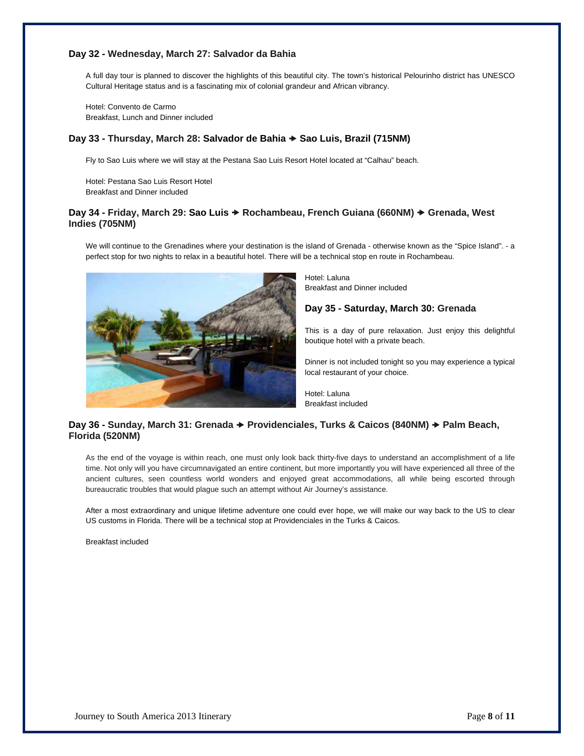## **Day 32 - Wednesday, March 27: Salvador da Bahia**

A full day tour is planned to discover the highlights of this beautiful city. The town's historical Pelourinho district has UNESCO Cultural Heritage status and is a fascinating mix of colonial grandeur and African vibrancy.

Hotel: Convento de Carmo Breakfast, Lunch and Dinner included

## **Day 33 - Thursday, March 28: Salvador de Bahia Sao Luis, Brazil (715NM)**

Fly to Sao Luis where we will stay at the Pestana Sao Luis Resort Hotel located at "Calhau" beach.

Hotel: Pestana Sao Luis Resort Hotel Breakfast and Dinner included

## Day 34 - Friday, March 29: Sao Luis → Rochambeau, French Guiana (660NM) → Grenada, West **Indies (705NM)**

We will continue to the Grenadines where your destination is the island of Grenada - otherwise known as the "Spice Island". - a perfect stop for two nights to relax in a beautiful hotel. There will be a technical stop en route in Rochambeau.



Hotel: Laluna Breakfast and Dinner included

**Day 35 - Saturday, March 30: Grenada**

This is a day of pure relaxation. Just enjoy this delightful boutique hotel with a private beach.

Dinner is not included tonight so you may experience a typical local restaurant of your choice.

Hotel: Laluna Breakfast included

## Day 36 - Sunday, March 31: Grenada → Providenciales, Turks & Caicos (840NM) → Palm Beach, **Florida (520NM)**

As the end of the voyage is within reach, one must only look back thirty-five days to understand an accomplishment of a life time. Not only will you have circumnavigated an entire continent, but more importantly you will have experienced all three of the ancient cultures, seen countless world wonders and enjoyed great accommodations, all while being escorted through bureaucratic troubles that would plague such an attempt without Air Journey's assistance.

After a most extraordinary and unique lifetime adventure one could ever hope, we will make our way back to the US to clear US customs in Florida. There will be a technical stop at Providenciales in the Turks & Caicos.

Breakfast included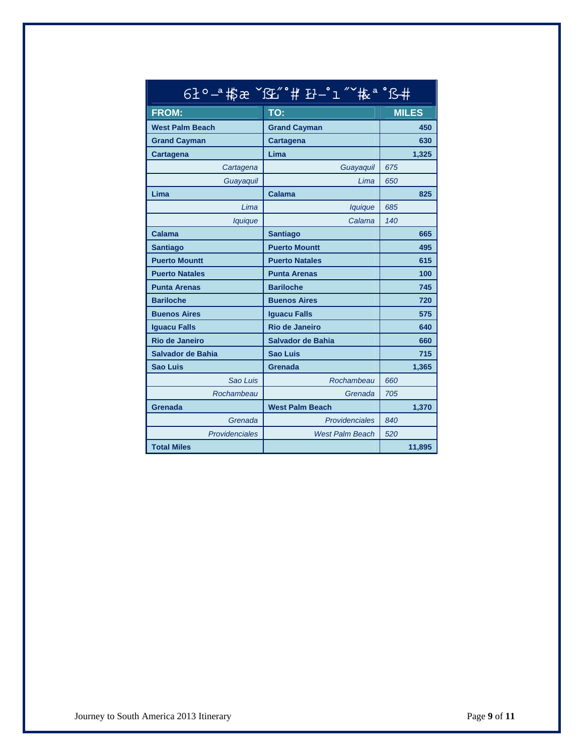| <u>6±°−ª</u> 指æ<br>13巴 # 孖一工<br>拖"马# |                          |              |  |  |
|--------------------------------------|--------------------------|--------------|--|--|
| <b>FROM:</b>                         | TO:                      | <b>MILES</b> |  |  |
| <b>West Palm Beach</b>               | <b>Grand Cayman</b>      | 450          |  |  |
| <b>Grand Cayman</b>                  | <b>Cartagena</b>         | 630          |  |  |
| Cartagena                            | Lima                     | 1,325        |  |  |
| Cartagena                            | Guayaquil                | 675          |  |  |
| Guayaquil                            | Lima                     | 650          |  |  |
| Lima                                 | Calama                   | 825          |  |  |
| Lima                                 | lquique                  | 685          |  |  |
| lquique                              | Calama                   | 140          |  |  |
| Calama                               | <b>Santiago</b>          | 665          |  |  |
| <b>Santiago</b>                      | <b>Puerto Mountt</b>     | 495          |  |  |
| <b>Puerto Mountt</b>                 | <b>Puerto Natales</b>    | 615          |  |  |
| <b>Puerto Natales</b>                | <b>Punta Arenas</b>      | 100          |  |  |
| <b>Punta Arenas</b>                  | <b>Bariloche</b>         | 745          |  |  |
| <b>Bariloche</b>                     | <b>Buenos Aires</b>      | 720          |  |  |
| <b>Buenos Aires</b>                  | <b>Iguacu Falls</b>      | 575          |  |  |
| <b>Iguacu Falls</b>                  | Rio de Janeiro           | 640          |  |  |
| <b>Rio de Janeiro</b>                | <b>Salvador de Bahia</b> | 660          |  |  |
| Salvador de Bahia                    | <b>Sao Luis</b>          | 715          |  |  |
| <b>Sao Luis</b>                      | Grenada                  | 1,365        |  |  |
| Sao Luis                             | Rochambeau               | 660          |  |  |
| Rochambeau                           | Grenada                  | 705          |  |  |
| Grenada                              | <b>West Palm Beach</b>   | 1,370        |  |  |
| Grenada                              | Providenciales           | 840          |  |  |
| Providenciales                       | <b>West Palm Beach</b>   | 520          |  |  |
| <b>Total Miles</b>                   |                          | 11,895       |  |  |

#### 61°<sup>-</sup> 将 æ ~ 
#<sup>a</sup>°ß#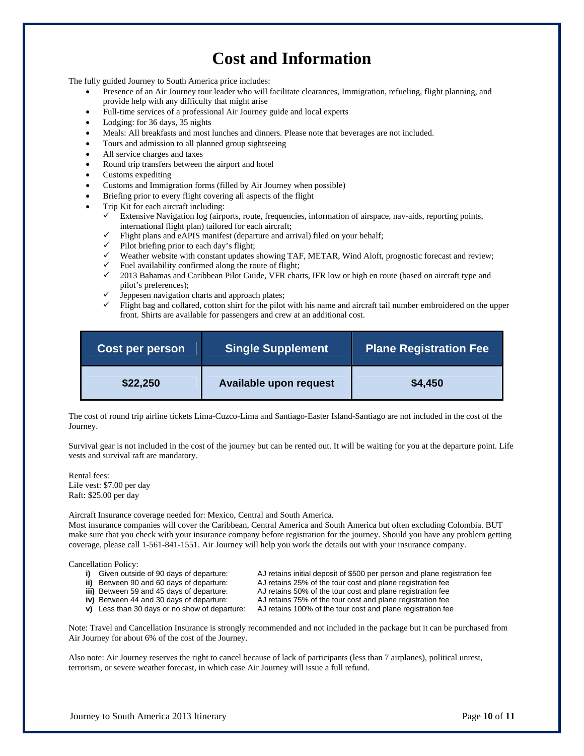## **Cost and Information**

The fully guided Journey to South America price includes:

- Presence of an Air Journey tour leader who will facilitate clearances, Immigration, refueling, flight planning, and provide help with any difficulty that might arise
- Full-time services of a professional Air Journey guide and local experts
- Lodging: for 36 days, 35 nights
- Meals: All breakfasts and most lunches and dinners. Please note that beverages are not included.
- Tours and admission to all planned group sightseeing
- All service charges and taxes
- Round trip transfers between the airport and hotel
- Customs expediting
- Customs and Immigration forms (filled by Air Journey when possible)
- Briefing prior to every flight covering all aspects of the flight
- Trip Kit for each aircraft including:
	- $\checkmark$  Extensive Navigation log (airports, route, frequencies, information of airspace, nav-aids, reporting points, international flight plan) tailored for each aircraft;
	- Flight plans and eAPIS manifest (departure and arrival) filed on your behalf;
	- $\checkmark$  Pilot briefing prior to each day's flight;
	- $\checkmark$  Weather website with constant updates showing TAF, METAR, Wind Aloft, prognostic forecast and review;
	- $\checkmark$  Fuel availability confirmed along the route of flight;
	- 2013 Bahamas and Caribbean Pilot Guide, VFR charts, IFR low or high en route (based on aircraft type and pilot's preferences);
	- $\checkmark$  Jeppesen navigation charts and approach plates;
	- $\checkmark$  Flight bag and collared, cotton shirt for the pilot with his name and aircraft tail number embroidered on the upper front. Shirts are available for passengers and crew at an additional cost.

| <b>Cost per person</b> | <b>Single Supplement</b> | <b>Plane Registration Fee</b> |
|------------------------|--------------------------|-------------------------------|
| \$22,250               | Available upon request   | \$4,450                       |

The cost of round trip airline tickets Lima-Cuzco-Lima and Santiago-Easter Island-Santiago are not included in the cost of the Journey.

Survival gear is not included in the cost of the journey but can be rented out. It will be waiting for you at the departure point. Life vests and survival raft are mandatory.

Rental fees: Life vest: \$7.00 per day Raft: \$25.00 per day

Aircraft Insurance coverage needed for: Mexico, Central and South America.

Most insurance companies will cover the Caribbean, Central America and South America but often excluding Colombia. BUT make sure that you check with your insurance company before registration for the journey. Should you have any problem getting coverage, please call 1-561-841-1551. Air Journey will help you work the details out with your insurance company.

Cancellation Policy:

- **i)** Given outside of 90 days of departure: AJ retains initial deposit of \$500 per person and plane registration fee<br> **ii)** Between 90 and 60 days of departure: AJ retains 25% of the tour cost and plane registration fee
- 
- **iii)** Between 59 and 45 days of departure: AJ retains 50% of the tour cost and plane registration fee
- **iv)** Between 44 and 30 days of departure: AJ retains 75% of the tour cost and plane registration fee
- -
- AJ retains 25% of the tour cost and plane registration fee
- 
- **v)** Less than 30 days or no show of departure: AJ retains 100% of the tour cost and plane registration fee

Note: Travel and Cancellation Insurance is strongly recommended and not included in the package but it can be purchased from Air Journey for about 6% of the cost of the Journey.

Also note: Air Journey reserves the right to cancel because of lack of participants (less than 7 airplanes), political unrest, terrorism, or severe weather forecast, in which case Air Journey will issue a full refund.